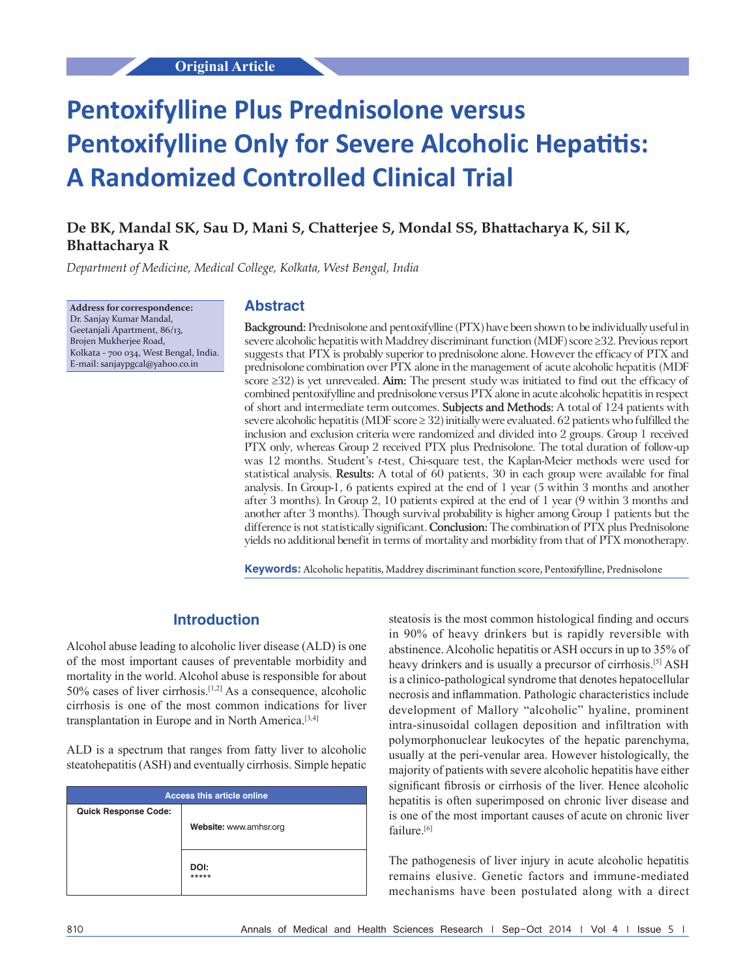# **Pentoxifylline Plus Prednisolone versus Pentoxifylline Only for Severe Alcoholic Hepatitis: A Randomized Controlled Clinical Trial**

# **De BK, Mandal SK, Sau D, Mani S, Chatterjee S, Mondal SS, Bhattacharya K, Sil K, Bhattacharya R**

*Department of Medicine, Medical College, Kolkata, West Bengal, India*

**Address for correspondence:** Dr. Sanjay Kumar Mandal, Geetanjali Apartment, 86/13, Brojen Mukherjee Road, Kolkata ‑ 700 034, West Bengal, India. E‑mail: sanjaypgcal@yahoo.co.in

#### **Abstract**

**Background:** Prednisolone and pentoxifylline (PTX) have been shown to be individually useful in severe alcoholic hepatitis with Maddrey discriminant function (MDF) score ≥32. Previous report suggests that PTX is probably superior to prednisolone alone. However the efficacy of PTX and prednisolone combination over PTX alone in the management of acute alcoholic hepatitis (MDF score ≥32) is yet unrevealed. **Aim:** The present study was initiated to find out the efficacy of combined pentoxifylline and prednisolone versus PTX alone in acute alcoholic hepatitis in respect of short and intermediate term outcomes. **Subjects and Methods:** A total of 124 patients with severe alcoholic hepatitis (MDF score ≥ 32) initially were evaluated. 62 patients who fulfilled the inclusion and exclusion criteria were randomized and divided into 2 groups. Group 1 received PTX only, whereas Group 2 received PTX plus Prednisolone. The total duration of follow‑up was 12 months. Student's *t*-test, Chi-square test, the Kaplan-Meier methods were used for statistical analysis. **Results:** A total of 60 patients, 30 in each group were available for final analysis. In Group-1, 6 patients expired at the end of  $1$  year (5 within 3 months and another after 3 months). In Group 2, 10 patients expired at the end of 1 year (9 within 3 months and another after 3 months). Though survival probability is higher among Group 1 patients but the difference is not statistically significant. **Conclusion:** The combination of PTX plus Prednisolone yields no additional benefit in terms of mortality and morbidity from that of PTX monotherapy.

**Keywords:** Alcoholic hepatitis, Maddrey discriminant function score, Pentoxifylline, Prednisolone

## **Introduction**

Alcohol abuse leading to alcoholic liver disease (ALD) is one of the most important causes of preventable morbidity and mortality in the world. Alcohol abuse is responsible for about 50% cases of liver cirrhosis.[1,2] As a consequence, alcoholic cirrhosis is one of the most common indications for liver transplantation in Europe and in North America.[3,4]

ALD is a spectrum that ranges from fatty liver to alcoholic steatohepatitis(ASH) and eventually cirrhosis. Simple hepatic

| <b>Access this article online</b> |                        |  |  |
|-----------------------------------|------------------------|--|--|
| <b>Quick Response Code:</b>       |                        |  |  |
|                                   | Website: www.amhsr.org |  |  |
|                                   |                        |  |  |
|                                   | DOI:<br>*****          |  |  |

steatosis is the most common histological finding and occurs in 90% of heavy drinkers but is rapidly reversible with abstinence. Alcoholic hepatitis or ASH occurs in up to 35% of heavy drinkers and is usually a precursor of cirrhosis.<sup>[5]</sup> ASH is a clinico-pathological syndrome that denotes hepatocellular necrosis and inflammation. Pathologic characteristics include development of Mallory "alcoholic" hyaline, prominent intra-sinusoidal collagen deposition and infiltration with polymorphonuclear leukocytes of the hepatic parenchyma, usually at the peri-venular area. However histologically, the majority of patients with severe alcoholic hepatitis have either significant fibrosis or cirrhosis of the liver. Hence alcoholic hepatitis is often superimposed on chronic liver disease and is one of the most important causes of acute on chronic liver failure.<sup>[6]</sup>

The pathogenesis of liver injury in acute alcoholic hepatitis remains elusive. Genetic factors and immune-mediated mechanisms have been postulated along with a direct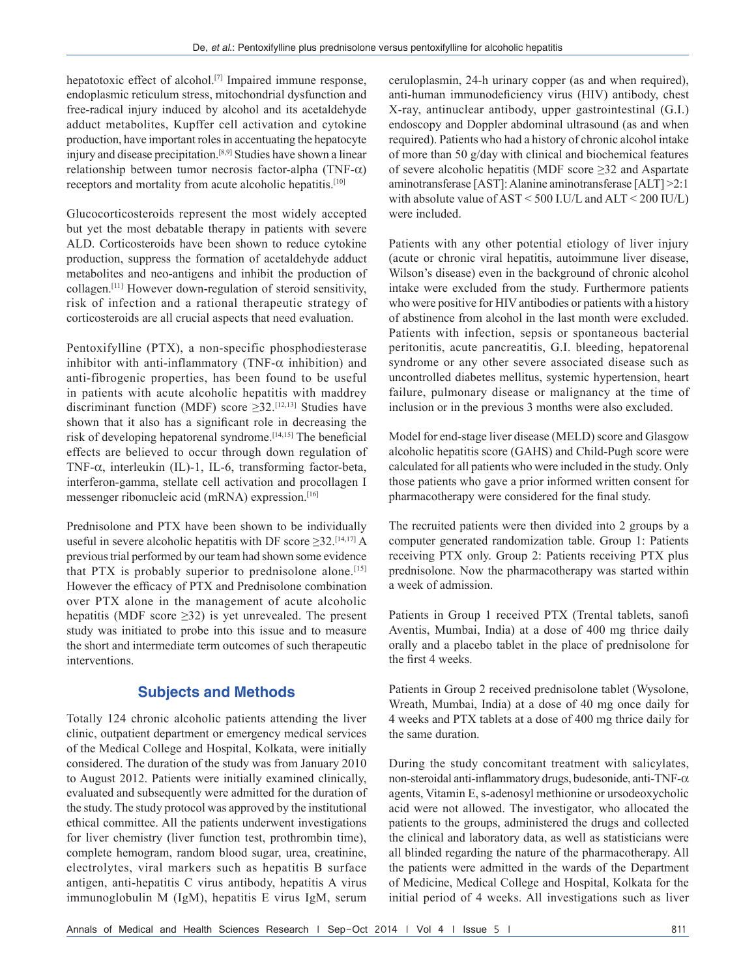hepatotoxic effect of alcohol.<sup>[7]</sup> Impaired immune response, endoplasmic reticulum stress, mitochondrial dysfunction and free-radical injury induced by alcohol and its acetaldehyde adduct metabolites, Kupffer cell activation and cytokine production, have important roles in accentuating the hepatocyte injury and disease precipitation.[8,9] Studies have shown a linear relationship between tumor necrosis factor-alpha (TNF- $\alpha$ ) receptors and mortality from acute alcoholic hepatitis.<sup>[10]</sup>

Glucocorticosteroids represent the most widely accepted but yet the most debatable therapy in patients with severe ALD. Corticosteroids have been shown to reduce cytokine production, suppress the formation of acetaldehyde adduct metabolites and neo-antigens and inhibit the production of collagen.[11] However down-regulation of steroid sensitivity, risk of infection and a rational therapeutic strategy of corticosteroids are all crucial aspects that need evaluation.

Pentoxifylline (PTX), a non-specific phosphodiesterase inhibitor with anti-inflammatory (TNF- $\alpha$  inhibition) and anti-fibrogenic properties, has been found to be useful in patients with acute alcoholic hepatitis with maddrey discriminant function (MDF) score  $\geq$ 32.<sup>[12,13]</sup> Studies have shown that it also has a significant role in decreasing the risk of developing hepatorenal syndrome.[14,15] The beneficial effects are believed to occur through down regulation of TNF-α, interleukin (IL)-1, IL-6, transforming factor-beta, interferon-gamma, stellate cell activation and procollagen I messenger ribonucleic acid (mRNA) expression.[16]

Prednisolone and PTX have been shown to be individually useful in severe alcoholic hepatitis with DF score  $\geq$ 32.<sup>[14,17]</sup> A previous trial performed by our team had shown some evidence that PTX is probably superior to prednisolone alone.<sup>[15]</sup> However the efficacy of PTX and Prednisolone combination over PTX alone in the management of acute alcoholic hepatitis (MDF score  $\geq$ 32) is yet unrevealed. The present study was initiated to probe into this issue and to measure the short and intermediate term outcomes of such therapeutic interventions.

## **Subjects and Methods**

Totally 124 chronic alcoholic patients attending the liver clinic, outpatient department or emergency medical services of the Medical College and Hospital, Kolkata, were initially considered. The duration of the study was from January 2010 to August 2012. Patients were initially examined clinically, evaluated and subsequently were admitted for the duration of the study. The study protocol was approved by the institutional ethical committee. All the patients underwent investigations for liver chemistry (liver function test, prothrombin time), complete hemogram, random blood sugar, urea, creatinine, electrolytes, viral markers such as hepatitis B surface antigen, anti-hepatitis C virus antibody, hepatitis A virus immunoglobulin M (IgM), hepatitis E virus IgM, serum

ceruloplasmin, 24-h urinary copper (as and when required), anti-human immunodeficiency virus (HIV) antibody, chest X-ray, antinuclear antibody, upper gastrointestinal (G.I.) endoscopy and Doppler abdominal ultrasound (as and when required). Patients who had a history of chronic alcohol intake of more than 50 g/day with clinical and biochemical features of severe alcoholic hepatitis (MDF score ≥32 and Aspartate aminotransferase [AST]: Alanine aminotransferase [ALT] >2:1 with absolute value of AST < 500 I.U/L and ALT < 200 IU/L) were included.

Patients with any other potential etiology of liver injury (acute or chronic viral hepatitis, autoimmune liver disease, Wilson's disease) even in the background of chronic alcohol intake were excluded from the study. Furthermore patients who were positive for HIV antibodies or patients with a history of abstinence from alcohol in the last month were excluded. Patients with infection, sepsis or spontaneous bacterial peritonitis, acute pancreatitis, G.I. bleeding, hepatorenal syndrome or any other severe associated disease such as uncontrolled diabetes mellitus, systemic hypertension, heart failure, pulmonary disease or malignancy at the time of inclusion or in the previous 3 months were also excluded.

Model for end-stage liver disease (MELD) score and Glasgow alcoholic hepatitis score (GAHS) and Child-Pugh score were calculated for all patients who were included in the study. Only those patients who gave a prior informed written consent for pharmacotherapy were considered for the final study.

The recruited patients were then divided into 2 groups by a computer generated randomization table. Group 1: Patients receiving PTX only. Group 2: Patients receiving PTX plus prednisolone. Now the pharmacotherapy was started within a week of admission.

Patients in Group 1 received PTX (Trental tablets, sanofi Aventis, Mumbai, India) at a dose of 400 mg thrice daily orally and a placebo tablet in the place of prednisolone for the first 4 weeks.

Patients in Group 2 received prednisolone tablet (Wysolone, Wreath, Mumbai, India) at a dose of 40 mg once daily for 4 weeks and PTX tablets at a dose of 400 mg thrice daily for the same duration.

During the study concomitant treatment with salicylates, non-steroidal anti-inflammatory drugs, budesonide, anti-TNF- $α$ agents, Vitamin E, s-adenosyl methionine or ursodeoxycholic acid were not allowed. The investigator, who allocated the patients to the groups, administered the drugs and collected the clinical and laboratory data, as well as statisticians were all blinded regarding the nature of the pharmacotherapy. All the patients were admitted in the wards of the Department of Medicine, Medical College and Hospital, Kolkata for the initial period of 4 weeks. All investigations such as liver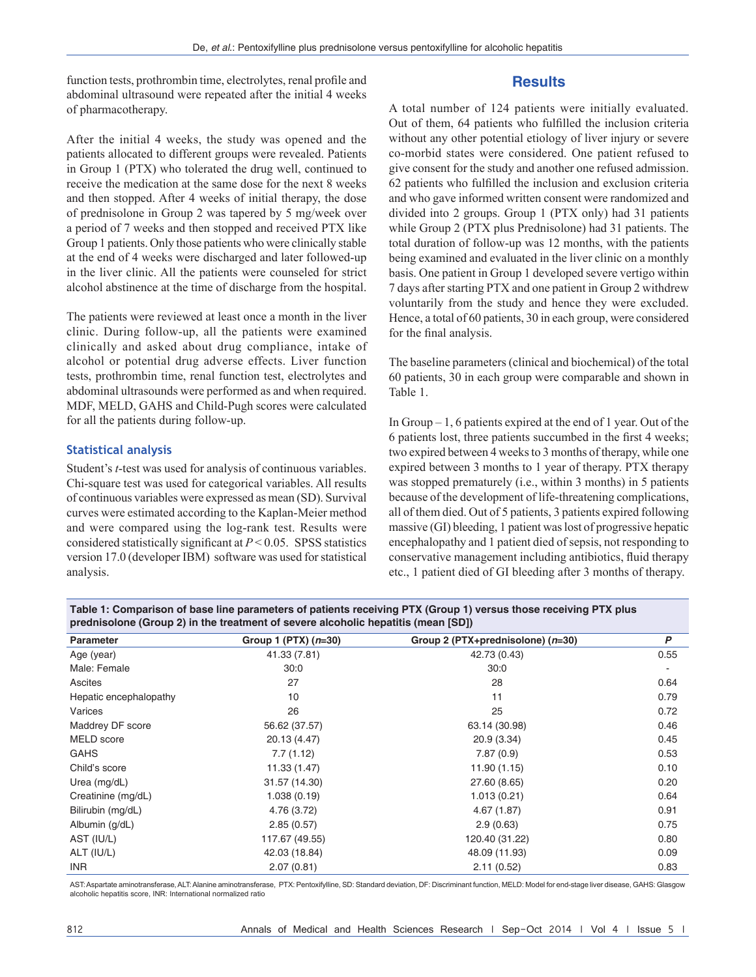function tests, prothrombin time, electrolytes, renal profile and abdominal ultrasound were repeated after the initial 4 weeks of pharmacotherapy.

#### **Results**

After the initial 4 weeks, the study was opened and the patients allocated to different groups were revealed. Patients in Group 1 (PTX) who tolerated the drug well, continued to receive the medication at the same dose for the next 8 weeks and then stopped. After 4 weeks of initial therapy, the dose of prednisolone in Group 2 was tapered by 5 mg/week over a period of 7 weeks and then stopped and received PTX like Group 1 patients. Only those patients who were clinically stable at the end of 4 weeks were discharged and later followed-up in the liver clinic. All the patients were counseled for strict alcohol abstinence at the time of discharge from the hospital.

The patients were reviewed at least once a month in the liver clinic. During follow-up, all the patients were examined clinically and asked about drug compliance, intake of alcohol or potential drug adverse effects. Liver function tests, prothrombin time, renal function test, electrolytes and abdominal ultrasounds were performed as and when required. MDF, MELD, GAHS and Child-Pugh scores were calculated for all the patients during follow-up.

#### **Statistical analysis**

Student's *t*-test was used for analysis of continuous variables. Chi-square test was used for categorical variables. All results of continuous variables were expressed as mean (SD). Survival curves were estimated according to the Kaplan-Meier method and were compared using the log-rank test. Results were considered statistically significant at *P* < 0.05. SPSS statistics version 17.0 (developer IBM) software was used for statistical analysis.

A total number of 124 patients were initially evaluated. Out of them, 64 patients who fulfilled the inclusion criteria without any other potential etiology of liver injury or severe co-morbid states were considered. One patient refused to give consent for the study and another one refused admission. 62 patients who fulfilled the inclusion and exclusion criteria and who gave informed written consent were randomized and divided into 2 groups. Group 1 (PTX only) had 31 patients while Group 2 (PTX plus Prednisolone) had 31 patients. The total duration of follow-up was 12 months, with the patients being examined and evaluated in the liver clinic on a monthly basis. One patient in Group 1 developed severe vertigo within 7 days after starting PTX and one patient in Group 2 withdrew voluntarily from the study and hence they were excluded. Hence, a total of 60 patients, 30 in each group, were considered for the final analysis.

The baseline parameters(clinical and biochemical) of the total 60 patients, 30 in each group were comparable and shown in Table 1.

In Group – 1, 6 patients expired at the end of 1 year. Out of the 6 patients lost, three patients succumbed in the first 4 weeks; two expired between 4 weeks to 3 months of therapy, while one expired between 3 months to 1 year of therapy. PTX therapy was stopped prematurely (i.e., within 3 months) in 5 patients because of the development of life-threatening complications, all of them died. Out of 5 patients, 3 patients expired following massive (GI) bleeding, 1 patient was lost of progressive hepatic encephalopathy and 1 patient died of sepsis, not responding to conservative management including antibiotics, fluid therapy etc., 1 patient died of GI bleeding after 3 months of therapy.

**Table 1: Comparison of base line parameters of patients receiving PTX (Group 1) versus those receiving PTX plus prednisolone (Group 2) in the treatment of severe alcoholic hepatitis (mean [SD])**

| <b>Parameter</b>       | Group 1 (PTX) $(n=30)$ | Group 2 (PTX+prednisolone) (n=30) | P    |
|------------------------|------------------------|-----------------------------------|------|
| Age (year)             | 41.33 (7.81)           | 42.73 (0.43)                      | 0.55 |
| Male: Female           | 30:0                   | 30:0                              |      |
| Ascites                | 27                     | 28                                | 0.64 |
| Hepatic encephalopathy | 10                     | 11                                | 0.79 |
| Varices                | 26                     | 25                                | 0.72 |
| Maddrey DF score       | 56.62 (37.57)          | 63.14 (30.98)                     | 0.46 |
| MELD score             | 20.13 (4.47)           | 20.9 (3.34)                       | 0.45 |
| <b>GAHS</b>            | 7.7(1.12)              | 7.87(0.9)                         | 0.53 |
| Child's score          | 11.33(1.47)            | 11.90(1.15)                       | 0.10 |
| Urea (mg/dL)           | 31.57 (14.30)          | 27.60 (8.65)                      | 0.20 |
| Creatinine (mg/dL)     | 1.038(0.19)            | 1.013(0.21)                       | 0.64 |
| Bilirubin (mg/dL)      | 4.76 (3.72)            | 4.67 (1.87)                       | 0.91 |
| Albumin (g/dL)         | 2.85(0.57)             | 2.9(0.63)                         | 0.75 |
| AST (IU/L)             | 117.67 (49.55)         | 120.40 (31.22)                    | 0.80 |
| ALT (IU/L)             | 42.03 (18.84)          | 48.09 (11.93)                     | 0.09 |
| <b>INR</b>             | 2.07(0.81)             | 2.11(0.52)                        | 0.83 |

AST: Aspartate aminotransferase, ALT: Alanine aminotransferase, PTX: Pentoxifylline, SD: Standard deviation, DF: Discriminant function, MELD: Model for end-stage liver disease, GAHS: Glasgow alcoholic hepatitis score, INR: International normalized ratio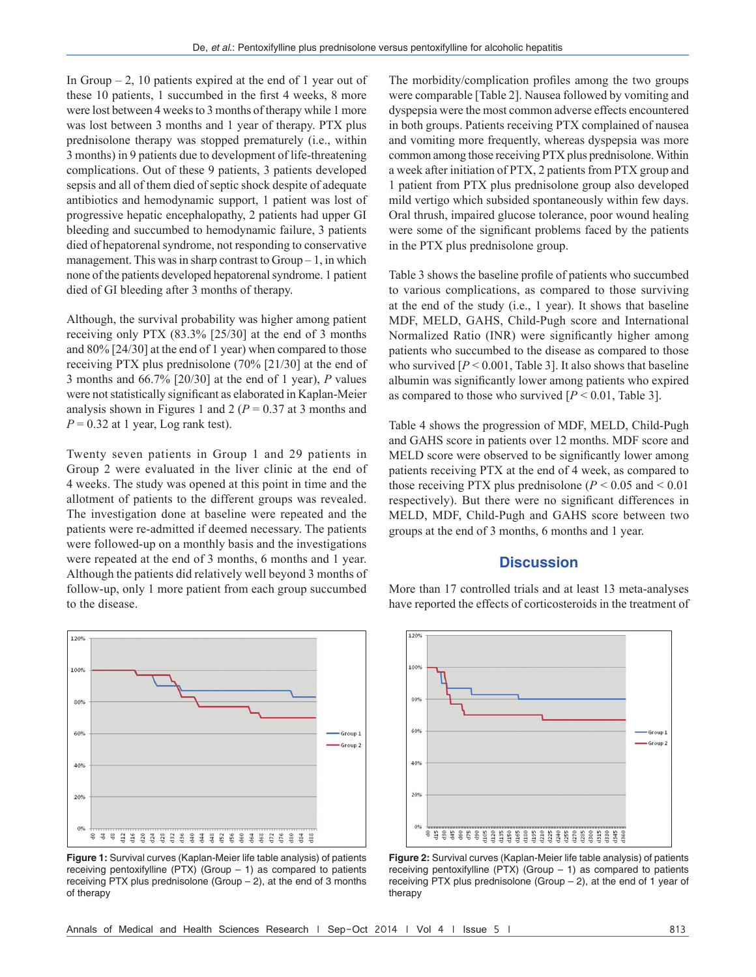In Group  $-2$ , 10 patients expired at the end of 1 year out of these 10 patients, 1 succumbed in the first 4 weeks, 8 more were lost between 4 weeks to 3 months of therapy while 1 more was lost between 3 months and 1 year of therapy. PTX plus prednisolone therapy was stopped prematurely (i.e., within 3 months) in 9 patients due to development of life-threatening complications. Out of these 9 patients, 3 patients developed sepsis and all of them died of septic shock despite of adequate antibiotics and hemodynamic support, 1 patient was lost of progressive hepatic encephalopathy, 2 patients had upper GI bleeding and succumbed to hemodynamic failure, 3 patients died of hepatorenal syndrome, not responding to conservative management. This was in sharp contrast to  $Group-1$ , in which none of the patients developed hepatorenal syndrome. 1 patient died of GI bleeding after 3 months of therapy.

Although, the survival probability was higher among patient receiving only PTX (83.3% [25/30] at the end of 3 months and 80% [24/30] at the end of 1 year) when compared to those receiving PTX plus prednisolone (70% [21/30] at the end of 3 months and 66.7% [20/30] at the end of 1 year), *P* values were not statistically significant as elaborated in Kaplan-Meier analysis shown in Figures 1 and 2 ( $P = 0.37$  at 3 months and  $P = 0.32$  at 1 year, Log rank test).

Twenty seven patients in Group 1 and 29 patients in Group 2 were evaluated in the liver clinic at the end of 4 weeks. The study was opened at this point in time and the allotment of patients to the different groups was revealed. The investigation done at baseline were repeated and the patients were re-admitted if deemed necessary. The patients were followed-up on a monthly basis and the investigations were repeated at the end of 3 months, 6 months and 1 year. Although the patients did relatively well beyond 3 months of follow-up, only 1 more patient from each group succumbed to the disease.



**Figure 1:** Survival curves (Kaplan-Meier life table analysis) of patients receiving pentoxifylline (PTX) (Group  $-1$ ) as compared to patients receiving PTX plus prednisolone (Group  $-2$ ), at the end of 3 months of therapy

The morbidity/complication profiles among the two groups were comparable [Table 2]. Nausea followed by vomiting and dyspepsia were the most common adverse effects encountered in both groups. Patients receiving PTX complained of nausea and vomiting more frequently, whereas dyspepsia was more common among those receiving PTX plus prednisolone. Within a week after initiation of PTX, 2 patients from PTX group and 1 patient from PTX plus prednisolone group also developed mild vertigo which subsided spontaneously within few days. Oral thrush, impaired glucose tolerance, poor wound healing were some of the significant problems faced by the patients in the PTX plus prednisolone group.

Table 3 shows the baseline profile of patients who succumbed to various complications, as compared to those surviving at the end of the study (i.e., 1 year). It shows that baseline MDF, MELD, GAHS, Child-Pugh score and International Normalized Ratio (INR) were significantly higher among patients who succumbed to the disease as compared to those who survived  $[P < 0.001$ , Table 3]. It also shows that baseline albumin was significantly lower among patients who expired as compared to those who survived  $[P < 0.01$ , Table 3].

Table 4 shows the progression of MDF, MELD, Child-Pugh and GAHS score in patients over 12 months. MDF score and MELD score were observed to be significantly lower among patients receiving PTX at the end of 4 week, as compared to those receiving PTX plus prednisolone ( $P \le 0.05$  and  $\le 0.01$ ) respectively). But there were no significant differences in MELD, MDF, Child-Pugh and GAHS score between two groups at the end of 3 months, 6 months and 1 year.

### **Discussion**

More than 17 controlled trials and at least 13 meta-analyses have reported the effects of corticosteroids in the treatment of



**Figure 2:** Survival curves (Kaplan-Meier life table analysis) of patients receiving pentoxifylline (PTX) (Group  $-1$ ) as compared to patients receiving PTX plus prednisolone (Group  $-2$ ), at the end of 1 year of therapy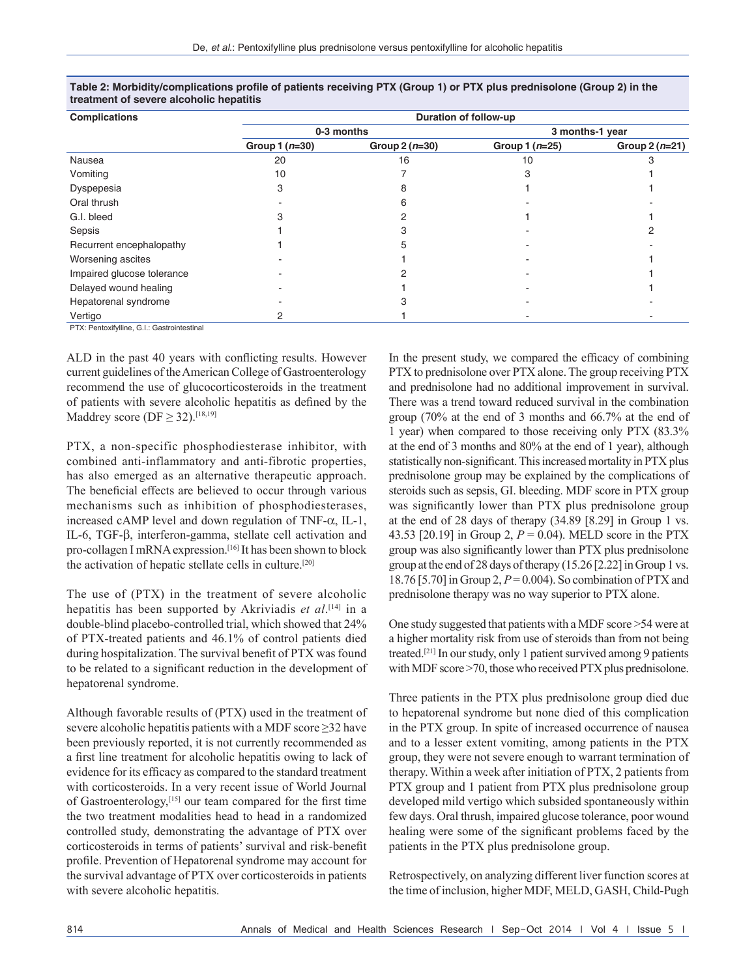| <b>Complications</b>       | Duration of follow-up |                 |                 |                 |
|----------------------------|-----------------------|-----------------|-----------------|-----------------|
|                            |                       | 0-3 months      | 3 months-1 year |                 |
|                            | Group $1(n=30)$       | Group $2(n=30)$ | Group $1(n=25)$ | Group $2(n=21)$ |
| Nausea                     | 20                    | 16              | 10              |                 |
| Vomiting                   | 10                    |                 |                 |                 |
| Dyspepesia                 |                       |                 |                 |                 |
| Oral thrush                |                       |                 |                 |                 |
| G.I. bleed                 |                       |                 |                 |                 |
| Sepsis                     |                       |                 |                 |                 |
| Recurrent encephalopathy   |                       |                 |                 |                 |
| Worsening ascites          |                       |                 |                 |                 |
| Impaired glucose tolerance |                       |                 |                 |                 |
| Delayed wound healing      |                       |                 |                 |                 |
| Hepatorenal syndrome       |                       |                 |                 |                 |
| Vertigo                    |                       |                 |                 |                 |

**Table 2: Morbidity/complications profile of patients receiving PTX (Group 1) or PTX plus prednisolone (Group 2) in the treatment of severe alcoholic hepatitis**

PTX: Pentoxifylline, G.I.: Gastrointestinal

ALD in the past 40 years with conflicting results. However current guidelines of the American College of Gastroenterology recommend the use of glucocorticosteroids in the treatment of patients with severe alcoholic hepatitis as defined by the Maddrey score ( $DF \geq 32$ ).<sup>[18,19]</sup>

PTX, a non-specific phosphodiesterase inhibitor, with combined anti-inflammatory and anti-fibrotic properties, has also emerged as an alternative therapeutic approach. The beneficial effects are believed to occur through various mechanisms such as inhibition of phosphodiesterases, increased cAMP level and down regulation of TNF- $\alpha$ , IL-1, IL-6, TGF-β, interferon-gamma, stellate cell activation and pro-collagen I mRNA expression.<sup>[16]</sup> It has been shown to block the activation of hepatic stellate cells in culture.[20]

The use of (PTX) in the treatment of severe alcoholic hepatitis has been supported by Akriviadis *et al*. [14] in a double-blind placebo-controlled trial, which showed that 24% of PTX-treated patients and 46.1% of control patients died during hospitalization. The survival benefit of PTX was found to be related to a significant reduction in the development of hepatorenal syndrome.

Although favorable results of (PTX) used in the treatment of severe alcoholic hepatitis patients with a MDF score  $\geq$ 32 have been previously reported, it is not currently recommended as a first line treatment for alcoholic hepatitis owing to lack of evidence for its efficacy as compared to the standard treatment with corticosteroids. In a very recent issue of World Journal of Gastroenterology,[15] our team compared for the first time the two treatment modalities head to head in a randomized controlled study, demonstrating the advantage of PTX over corticosteroids in terms of patients' survival and risk‑benefit profile. Prevention of Hepatorenal syndrome may account for the survival advantage of PTX over corticosteroids in patients with severe alcoholic hepatitis.

In the present study, we compared the efficacy of combining PTX to prednisolone over PTX alone. The group receiving PTX and prednisolone had no additional improvement in survival. There was a trend toward reduced survival in the combination group (70% at the end of 3 months and 66.7% at the end of 1 year) when compared to those receiving only PTX (83.3% at the end of 3 months and 80% at the end of 1 year), although statistically non-significant. This increased mortality in PTX plus prednisolone group may be explained by the complications of steroids such as sepsis, GI. bleeding. MDF score in PTX group was significantly lower than PTX plus prednisolone group at the end of 28 days of therapy (34.89 [8.29] in Group 1 vs. 43.53 [20.19] in Group 2, *P* = 0.04). MELD score in the PTX group was also significantly lower than PTX plus prednisolone group at the end of 28 days of therapy (15.26 [2.22] in Group 1 vs. 18.76 [5.70] in Group 2, *P*= 0.004). So combination of PTX and prednisolone therapy was no way superior to PTX alone.

One study suggested that patients with a MDF score >54 were at a higher mortality risk from use of steroids than from not being treated.[21] In our study, only 1 patient survived among 9 patients with MDF score >70, those who received PTX plus prednisolone.

Three patients in the PTX plus prednisolone group died due to hepatorenal syndrome but none died of this complication in the PTX group. In spite of increased occurrence of nausea and to a lesser extent vomiting, among patients in the PTX group, they were not severe enough to warrant termination of therapy. Within a week after initiation of PTX, 2 patients from PTX group and 1 patient from PTX plus prednisolone group developed mild vertigo which subsided spontaneously within few days. Oral thrush, impaired glucose tolerance, poor wound healing were some of the significant problems faced by the patients in the PTX plus prednisolone group.

Retrospectively, on analyzing different liver function scores at the time of inclusion, higher MDF, MELD, GASH, Child-Pugh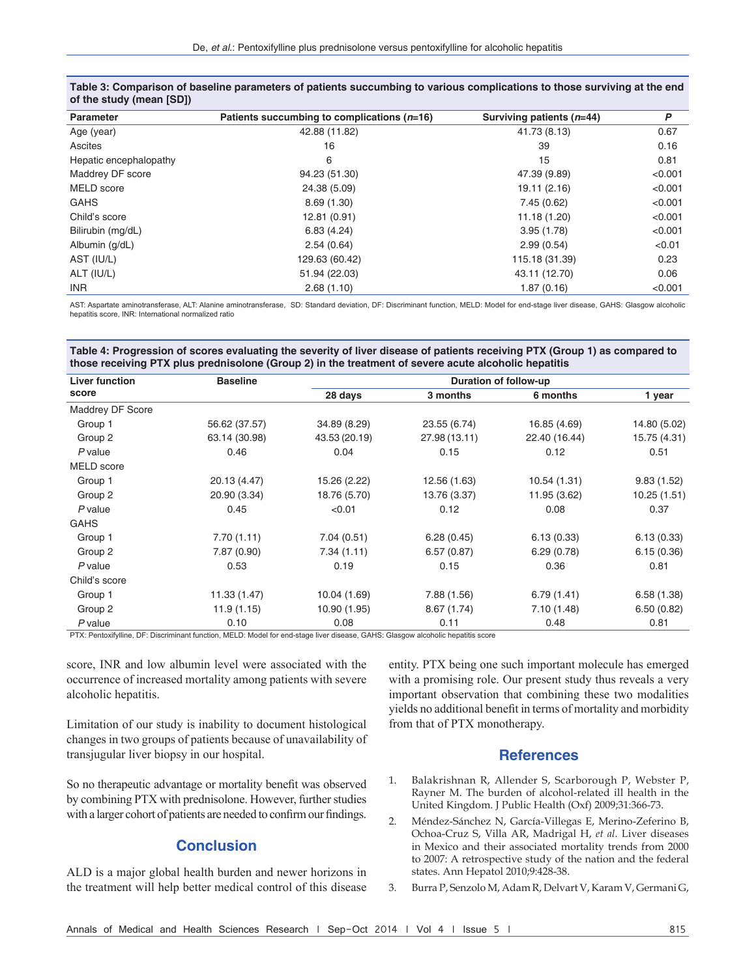| <b>Parameter</b>       | Patients succumbing to complications $(n=16)$ | Surviving patients $(n=44)$ | P       |
|------------------------|-----------------------------------------------|-----------------------------|---------|
| Age (year)             | 42.88 (11.82)                                 | 41.73 (8.13)                | 0.67    |
| Ascites                | 16                                            | 39                          | 0.16    |
| Hepatic encephalopathy | 6                                             | 15                          | 0.81    |
| Maddrey DF score       | 94.23 (51.30)                                 | 47.39 (9.89)                | < 0.001 |
| MELD score             | 24.38 (5.09)                                  | 19.11 (2.16)                | < 0.001 |
| <b>GAHS</b>            | 8.69(1.30)                                    | 7.45(0.62)                  | < 0.001 |
| Child's score          | 12.81 (0.91)                                  | 11.18 (1.20)                | < 0.001 |
| Bilirubin (mg/dL)      | 6.83(4.24)                                    | 3.95(1.78)                  | < 0.001 |
| Albumin (g/dL)         | 2.54(0.64)                                    | 2.99(0.54)                  | < 0.01  |
| AST (IU/L)             | 129.63 (60.42)                                | 115.18 (31.39)              | 0.23    |
| ALT (IU/L)             | 51.94 (22.03)                                 | 43.11 (12.70)               | 0.06    |
| <b>INR</b>             | 2.68(1.10)                                    | 1.87(0.16)                  | < 0.001 |
|                        |                                               |                             |         |

**Table 3: Comparison of baseline parameters of patients succumbing to various complications to those surviving at the end of the study (mean [SD])**

AST: Aspartate aminotransferase, ALT: Alanine aminotransferase, SD: Standard deviation, DF: Discriminant function, MELD: Model for end-stage liver disease, GAHS: Glasgow alcoholic hepatitis score, INR: International normalized ratio

#### **Table 4: Progression of scores evaluating the severity of liver disease of patients receiving PTX (Group 1) as compared to those receiving PTX plus prednisolone (Group 2) in the treatment of severe acute alcoholic hepatitis**

| <b>Liver function</b><br>score | <b>Baseline</b> | Duration of follow-up |               |               |              |
|--------------------------------|-----------------|-----------------------|---------------|---------------|--------------|
|                                |                 | 28 days               | 3 months      | 6 months      | 1 year       |
| Maddrey DF Score               |                 |                       |               |               |              |
| Group 1                        | 56.62 (37.57)   | 34.89 (8.29)          | 23.55 (6.74)  | 16.85 (4.69)  | 14.80 (5.02) |
| Group 2                        | 63.14 (30.98)   | 43.53 (20.19)         | 27.98 (13.11) | 22.40 (16.44) | 15.75 (4.31) |
| $P$ value                      | 0.46            | 0.04                  | 0.15          | 0.12          | 0.51         |
| MELD score                     |                 |                       |               |               |              |
| Group 1                        | 20.13 (4.47)    | 15.26 (2.22)          | 12.56 (1.63)  | 10.54 (1.31)  | 9.83(1.52)   |
| Group 2                        | 20.90 (3.34)    | 18.76 (5.70)          | 13.76 (3.37)  | 11.95 (3.62)  | 10.25(1.51)  |
| $P$ value                      | 0.45            | < 0.01                | 0.12          | 0.08          | 0.37         |
| <b>GAHS</b>                    |                 |                       |               |               |              |
| Group 1                        | 7.70(1.11)      | 7.04(0.51)            | 6.28(0.45)    | 6.13(0.33)    | 6.13(0.33)   |
| Group 2                        | 7.87 (0.90)     | 7.34(1.11)            | 6.57(0.87)    | 6.29(0.78)    | 6.15(0.36)   |
| $P$ value                      | 0.53            | 0.19                  | 0.15          | 0.36          | 0.81         |
| Child's score                  |                 |                       |               |               |              |
| Group 1                        | 11.33 (1.47)    | 10.04 (1.69)          | 7.88 (1.56)   | 6.79(1.41)    | 6.58(1.38)   |
| Group 2                        | 11.9(1.15)      | 10.90 (1.95)          | 8.67(1.74)    | 7.10(1.48)    | 6.50(0.82)   |
| $P$ value                      | 0.10            | 0.08                  | 0.11          | 0.48          | 0.81         |

PTX: Pentoxifylline, DF: Discriminant function, MELD: Model for end-stage liver disease, GAHS: Glasgow alcoholic hepatitis score

score, INR and low albumin level were associated with the occurrence of increased mortality among patients with severe alcoholic hepatitis.

Limitation of our study is inability to document histological changes in two groups of patients because of unavailability of transjugular liver biopsy in our hospital.

So no therapeutic advantage or mortality benefit was observed by combining PTX with prednisolone. However, further studies with a larger cohort of patients are needed to confirm our findings.

## **Conclusion**

ALD is a major global health burden and newer horizons in the treatment will help better medical control of this disease entity. PTX being one such important molecule has emerged with a promising role. Our present study thus reveals a very important observation that combining these two modalities yields no additional benefit in terms of mortality and morbidity from that of PTX monotherapy.

#### **References**

- 1. Balakrishnan R, Allender S, Scarborough P, Webster P, Rayner M. The burden of alcohol-related ill health in the United Kingdom. J Public Health (Oxf) 2009;31:366‑73.
- 2. Méndez-Sánchez N, García-Villegas E, Merino-Zeferino B, Ochoa‑Cruz S, Villa AR, Madrigal H, *et al*. Liver diseases in Mexico and their associated mortality trends from 2000 to 2007: A retrospective study of the nation and the federal states. Ann Hepatol 2010;9:428‑38.
- 3. Burra P, Senzolo M, Adam R, Delvart V, Karam V, Germani G,